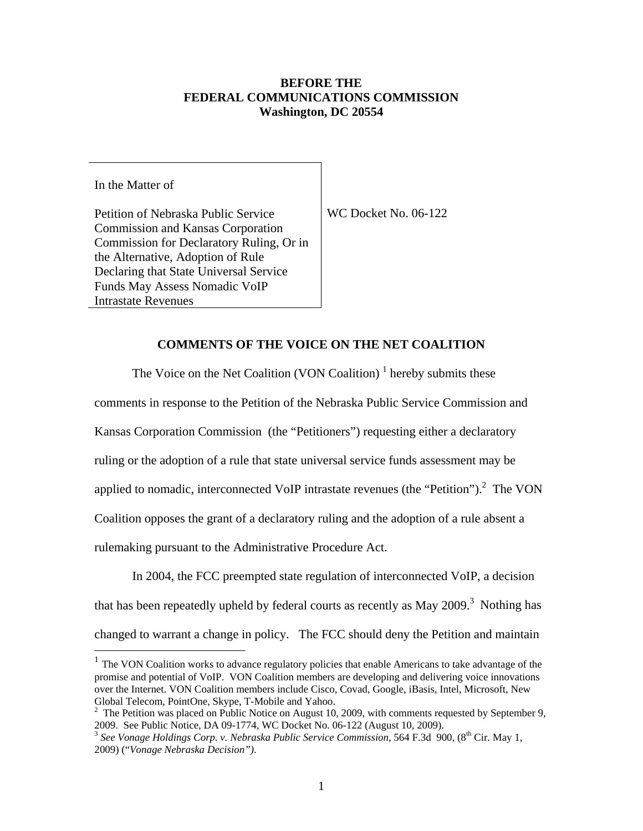### **BEFORE THE FEDERAL COMMUNICATIONS COMMISSION Washington, DC 20554**

In the Matter of

Petition of Nebraska Public Service Commission and Kansas Corporation Commission for Declaratory Ruling, Or in the Alternative, Adoption of Rule Declaring that State Universal Service Funds May Assess Nomadic VoIP Intrastate Revenues

WC Docket No. 06-122

#### **COMMENTS OF THE VOICE ON THE NET COALITION**

The Voice on the Net Coalition (VON Coalition)<sup> $1$ </sup> hereby submits these

comments in response to the Petition of the Nebraska Public Service Commission and

Kansas Corporation Commission (the "Petitioners") requesting either a declaratory

ruling or the adoption of a rule that state universal service funds assessment may be

applied to nomadic, interconnected VoIP intrastate revenues (the "Petition").<sup>2</sup> The VON

Coalition opposes the grant of a declaratory ruling and the adoption of a rule absent a

rulemaking pursuant to the Administrative Procedure Act.

In 2004, the FCC preempted state regulation of interconnected VoIP, a decision that has been repeatedly upheld by federal courts as recently as May 2009.<sup>3</sup> Nothing has changed to warrant a change in policy. The FCC should deny the Petition and maintain  $\overline{a}$ 

<sup>1</sup> The VON Coalition works to advance regulatory policies that enable Americans to take advantage of the promise and potential of VoIP. VON Coalition members are developing and delivering voice innovations over the Internet. VON Coalition members include Cisco, Covad, Google, iBasis, Intel, Microsoft, New Global Telecom, PointOne, Skype, T-Mobile and Yahoo. 2

 $2\degree$  The Petition was placed on Public Notice on August 10, 2009, with comments requested by September 9, 2009. See Public Notice, DA 09-1774, WC Docket No. 06-122 (August 10, 2009).

<sup>&</sup>lt;sup>3</sup> See Vonage Holdings Corp. v. Nebraska Public Service Commission, 564 F.3d 900, (8<sup>th</sup> Cir. May 1, 2009) ("*Vonage Nebraska Decision")*.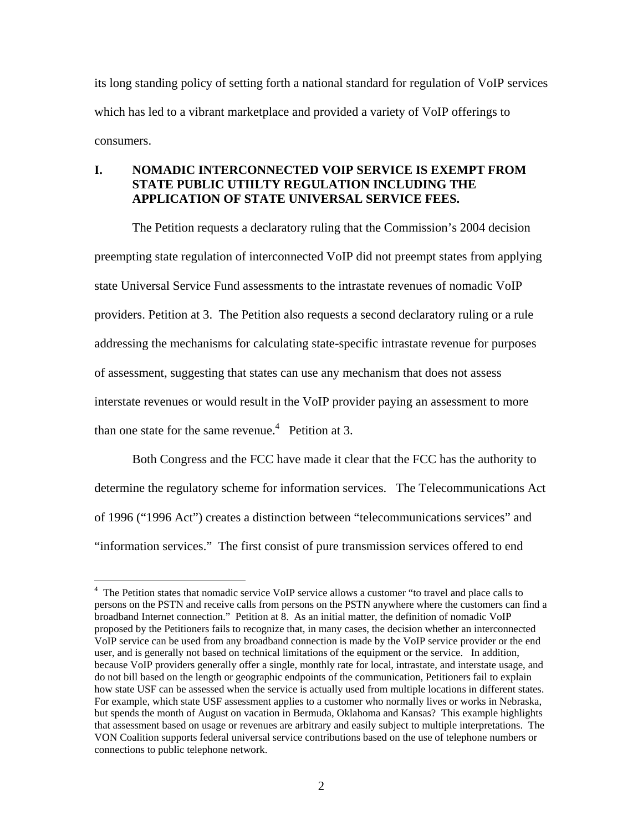its long standing policy of setting forth a national standard for regulation of VoIP services which has led to a vibrant marketplace and provided a variety of VoIP offerings to consumers.

# **I. NOMADIC INTERCONNECTED VOIP SERVICE IS EXEMPT FROM STATE PUBLIC UTIILTY REGULATION INCLUDING THE APPLICATION OF STATE UNIVERSAL SERVICE FEES.**

The Petition requests a declaratory ruling that the Commission's 2004 decision preempting state regulation of interconnected VoIP did not preempt states from applying state Universal Service Fund assessments to the intrastate revenues of nomadic VoIP providers. Petition at 3. The Petition also requests a second declaratory ruling or a rule addressing the mechanisms for calculating state-specific intrastate revenue for purposes of assessment, suggesting that states can use any mechanism that does not assess interstate revenues or would result in the VoIP provider paying an assessment to more than one state for the same revenue.<sup>4</sup> Petition at 3.

Both Congress and the FCC have made it clear that the FCC has the authority to determine the regulatory scheme for information services. The Telecommunications Act of 1996 ("1996 Act") creates a distinction between "telecommunications services" and "information services." The first consist of pure transmission services offered to end

1

<sup>&</sup>lt;sup>4</sup> The Petition states that nomadic service VoIP service allows a customer "to travel and place calls to persons on the PSTN and receive calls from persons on the PSTN anywhere where the customers can find a broadband Internet connection." Petition at 8. As an initial matter, the definition of nomadic VoIP proposed by the Petitioners fails to recognize that, in many cases, the decision whether an interconnected VoIP service can be used from any broadband connection is made by the VoIP service provider or the end user, and is generally not based on technical limitations of the equipment or the service. In addition, because VoIP providers generally offer a single, monthly rate for local, intrastate, and interstate usage, and do not bill based on the length or geographic endpoints of the communication, Petitioners fail to explain how state USF can be assessed when the service is actually used from multiple locations in different states. For example, which state USF assessment applies to a customer who normally lives or works in Nebraska, but spends the month of August on vacation in Bermuda, Oklahoma and Kansas? This example highlights that assessment based on usage or revenues are arbitrary and easily subject to multiple interpretations. The VON Coalition supports federal universal service contributions based on the use of telephone numbers or connections to public telephone network.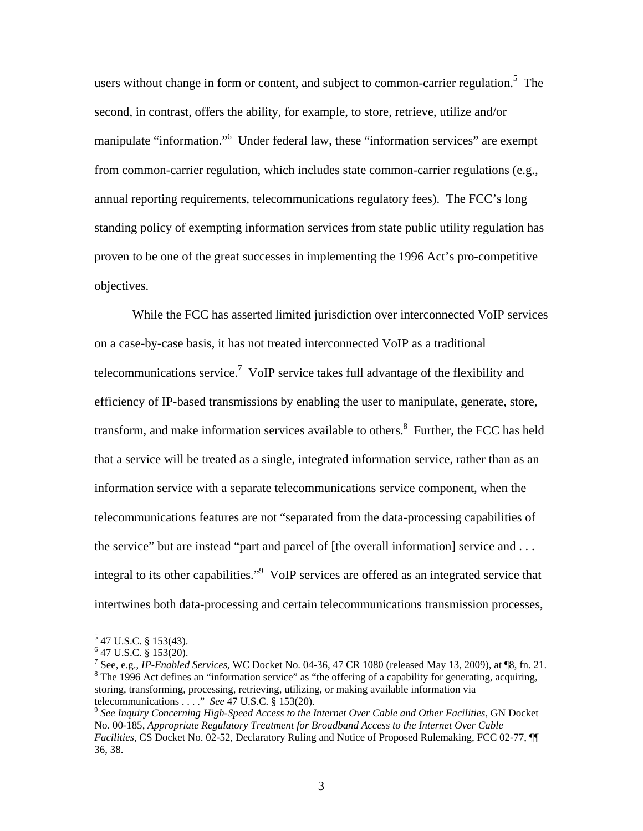users without change in form or content, and subject to common-carrier regulation.<sup>5</sup> The second, in contrast, offers the ability, for example, to store, retrieve, utilize and/or manipulate "information."<sup>6</sup> Under federal law, these "information services" are exempt from common-carrier regulation, which includes state common-carrier regulations (e.g., annual reporting requirements, telecommunications regulatory fees). The FCC's long standing policy of exempting information services from state public utility regulation has proven to be one of the great successes in implementing the 1996 Act's pro-competitive objectives.

While the FCC has asserted limited jurisdiction over interconnected VoIP services on a case-by-case basis, it has not treated interconnected VoIP as a traditional telecommunications service.7 VoIP service takes full advantage of the flexibility and efficiency of IP-based transmissions by enabling the user to manipulate, generate, store, transform, and make information services available to others.<sup>8</sup> Further, the FCC has held that a service will be treated as a single, integrated information service, rather than as an information service with a separate telecommunications service component, when the telecommunications features are not "separated from the data-processing capabilities of the service" but are instead "part and parcel of [the overall information] service and . . . integral to its other capabilities."<sup>9</sup> VoIP services are offered as an integrated service that intertwines both data-processing and certain telecommunications transmission processes,

 $5$  47 U.S.C. § 153(43).

 $6$  47 U.S.C. § 153(20).

<sup>&</sup>lt;sup>7</sup> See, e.g., *IP-Enabled Services*, WC Docket No. 04-36, 47 CR 1080 (released May 13, 2009), at ¶8, fn. 21.  $8 \text{ The } 1006$  Act defines an "information service" as "the offering of a conshility for generating assuming  $8$  The 1996 Act defines an "information service" as "the offering of a capability for generating, acquiring, storing, transforming, processing, retrieving, utilizing, or making available information via telecommunications . . . ." *See* 47 U.S.C. § 153(20).<br><sup>9</sup> *See Inquiry Concerning High-Speed Access to the Internet Over Cable and Other Facilities, GN Docket* 

No. 00-185, *Appropriate Regulatory Treatment for Broadband Access to the Internet Over Cable Facilities,* CS Docket No. 02-52, Declaratory Ruling and Notice of Proposed Rulemaking, FCC 02-77, ¶¶ 36, 38.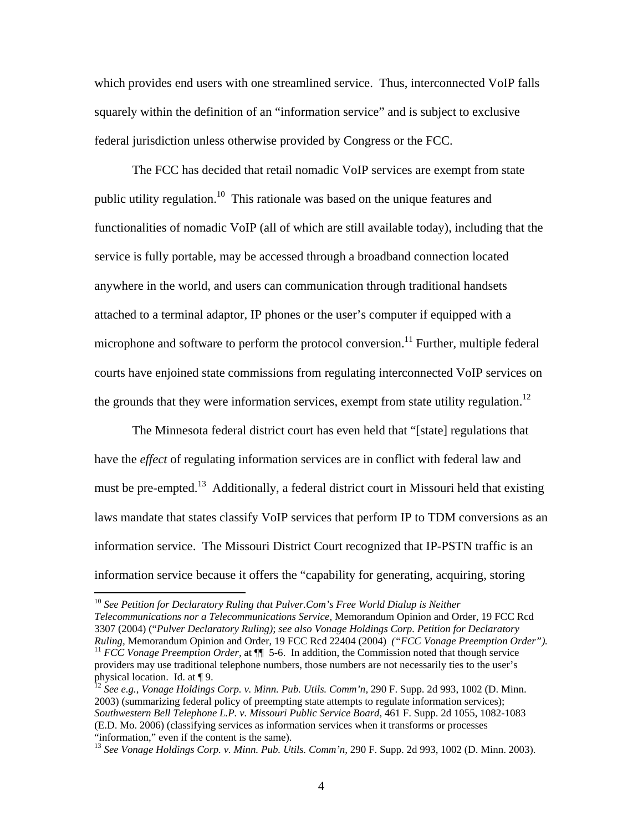which provides end users with one streamlined service. Thus, interconnected VoIP falls squarely within the definition of an "information service" and is subject to exclusive federal jurisdiction unless otherwise provided by Congress or the FCC.

The FCC has decided that retail nomadic VoIP services are exempt from state public utility regulation.<sup>10</sup> This rationale was based on the unique features and functionalities of nomadic VoIP (all of which are still available today), including that the service is fully portable, may be accessed through a broadband connection located anywhere in the world, and users can communication through traditional handsets attached to a terminal adaptor, IP phones or the user's computer if equipped with a microphone and software to perform the protocol conversion.<sup>11</sup> Further, multiple federal courts have enjoined state commissions from regulating interconnected VoIP services on the grounds that they were information services, exempt from state utility regulation.<sup>12</sup>

The Minnesota federal district court has even held that "[state] regulations that have the *effect* of regulating information services are in conflict with federal law and must be pre-empted.<sup>13</sup> Additionally, a federal district court in Missouri held that existing laws mandate that states classify VoIP services that perform IP to TDM conversions as an information service. The Missouri District Court recognized that IP-PSTN traffic is an information service because it offers the "capability for generating, acquiring, storing

1

<sup>&</sup>lt;sup>10</sup> See Petition for Declaratory Ruling that Pulver.Com's Free World Dialup is Neither *Telecommunications nor a Telecommunications Service,* Memorandum Opinion and Order, 19 FCC Rcd 3307 (2004) ("*Pulver Declaratory Ruling)*; *see also Vonage Holdings Corp. Petition for Declaratory*  <sup>11</sup> *FCC Vonage Preemption Order*, at ¶ 5-6. In addition, the Commission noted that though service providers may use traditional telephone numbers, those numbers are not necessarily ties to the user's physical location. Id. at ¶ 9.

<sup>&</sup>lt;sup>12</sup> See e.g., Vonage Holdings Corp. v. Minn. Pub. Utils. Comm'n, 290 F. Supp. 2d 993, 1002 (D. Minn. 2003) (summarizing federal policy of preempting state attempts to regulate information services); *Southwestern Bell Telephone L.P. v. Missouri Public Service Board,* 461 F. Supp. 2d 1055, 1082-1083 (E.D. Mo. 2006) (classifying services as information services when it transforms or processes "information," even if the content is the same).

<sup>&</sup>lt;sup>13</sup> See Vonage Holdings Corp. v. Minn. Pub. Utils. Comm'n, 290 F. Supp. 2d 993, 1002 (D. Minn. 2003).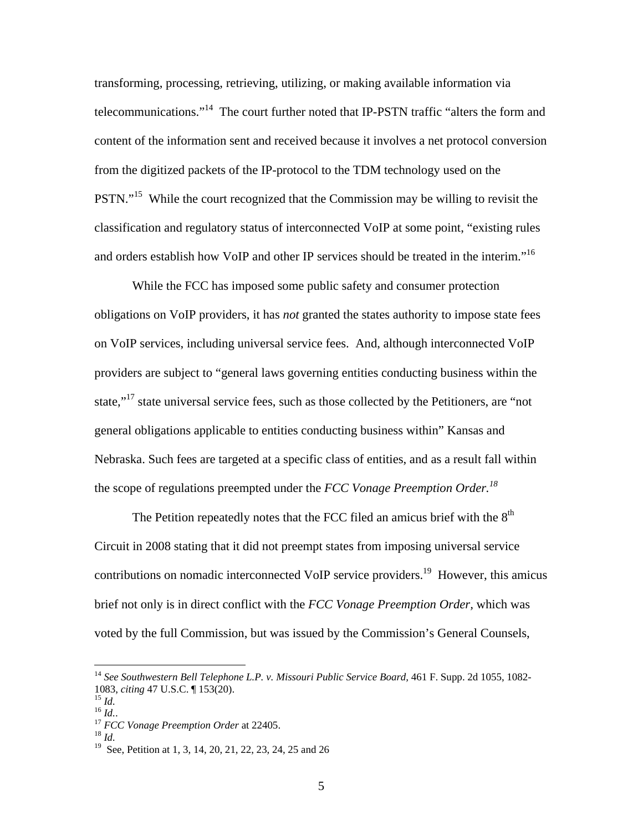transforming, processing, retrieving, utilizing, or making available information via telecommunications."14 The court further noted that IP-PSTN traffic "alters the form and content of the information sent and received because it involves a net protocol conversion from the digitized packets of the IP-protocol to the TDM technology used on the PSTN."<sup>15</sup> While the court recognized that the Commission may be willing to revisit the classification and regulatory status of interconnected VoIP at some point, "existing rules and orders establish how VoIP and other IP services should be treated in the interim."<sup>16</sup>

While the FCC has imposed some public safety and consumer protection obligations on VoIP providers, it has *not* granted the states authority to impose state fees on VoIP services, including universal service fees. And, although interconnected VoIP providers are subject to "general laws governing entities conducting business within the state,"<sup>17</sup> state universal service fees, such as those collected by the Petitioners, are "not general obligations applicable to entities conducting business within" Kansas and Nebraska. Such fees are targeted at a specific class of entities, and as a result fall within the scope of regulations preempted under the *FCC Vonage Preemption Order.18* 

The Petition repeatedly notes that the FCC filed an amicus brief with the  $8<sup>th</sup>$ Circuit in 2008 stating that it did not preempt states from imposing universal service contributions on nomadic interconnected VoIP service providers.<sup>19</sup> However, this amicus brief not only is in direct conflict with the *FCC Vonage Preemption Order,* which was voted by the full Commission, but was issued by the Commission's General Counsels,

<sup>&</sup>lt;sup>14</sup> See Southwestern Bell Telephone L.P. v. Missouri Public Service Board, 461 F. Supp. 2d 1055, 1082-1083, *citing* 47 U.S.C. ¶ 153(20).<br><sup>15</sup> *Id.*<br><sup>16</sup> *Id.*. <sup>17</sup> *FCC Vonage Preemption Order* at 22405.<br><sup>18</sup> *Id* 

<sup>19</sup> See, Petition at 1, 3, 14, 20, 21, 22, 23, 24, 25 and 26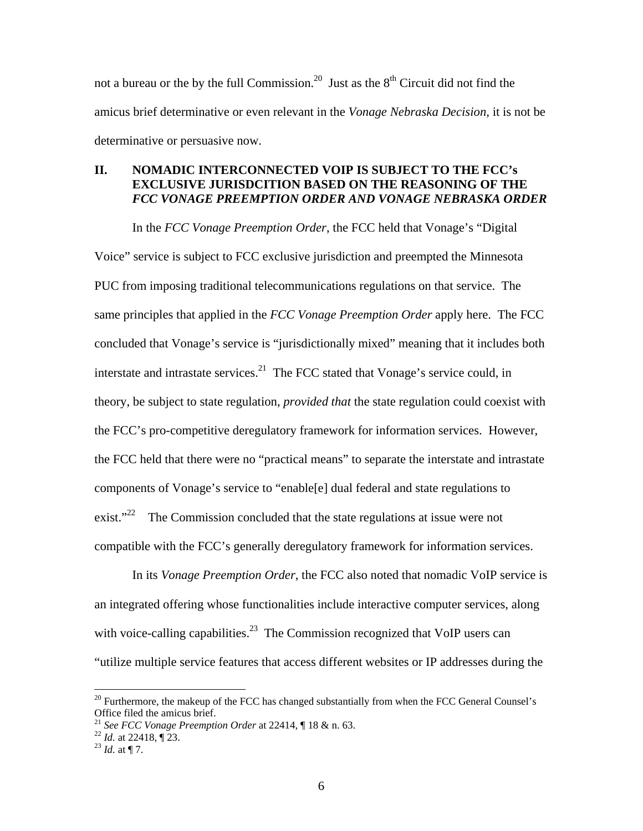not a bureau or the by the full Commission.<sup>20</sup> Just as the  $8<sup>th</sup>$  Circuit did not find the amicus brief determinative or even relevant in the *Vonage Nebraska Decision,* it is not be determinative or persuasive now.

### **II. NOMADIC INTERCONNECTED VOIP IS SUBJECT TO THE FCC's EXCLUSIVE JURISDCITION BASED ON THE REASONING OF THE**  *FCC VONAGE PREEMPTION ORDER AND VONAGE NEBRASKA ORDER*

In the *FCC Vonage Preemption Order*, the FCC held that Vonage's "Digital Voice" service is subject to FCC exclusive jurisdiction and preempted the Minnesota PUC from imposing traditional telecommunications regulations on that service. The same principles that applied in the *FCC Vonage Preemption Order* apply here. The FCC concluded that Vonage's service is "jurisdictionally mixed" meaning that it includes both interstate and intrastate services. $2^1$  The FCC stated that Vonage's service could, in theory, be subject to state regulation, *provided that* the state regulation could coexist with the FCC's pro-competitive deregulatory framework for information services. However, the FCC held that there were no "practical means" to separate the interstate and intrastate components of Vonage's service to "enable[e] dual federal and state regulations to exist."<sup>22</sup> The Commission concluded that the state regulations at issue were not compatible with the FCC's generally deregulatory framework for information services.

In its *Vonage Preemption Order*, the FCC also noted that nomadic VoIP service is an integrated offering whose functionalities include interactive computer services, along with voice-calling capabilities.<sup>23</sup> The Commission recognized that VoIP users can "utilize multiple service features that access different websites or IP addresses during the

 $20$  Furthermore, the makeup of the FCC has changed substantially from when the FCC General Counsel's Office filed the amicus brief.

<sup>21</sup> *See FCC Vonage Preemption Order* at 22414, ¶ 18 & n. 63. 22 *Id.* at 22418, ¶ 23. 23 *Id.* at ¶ 7.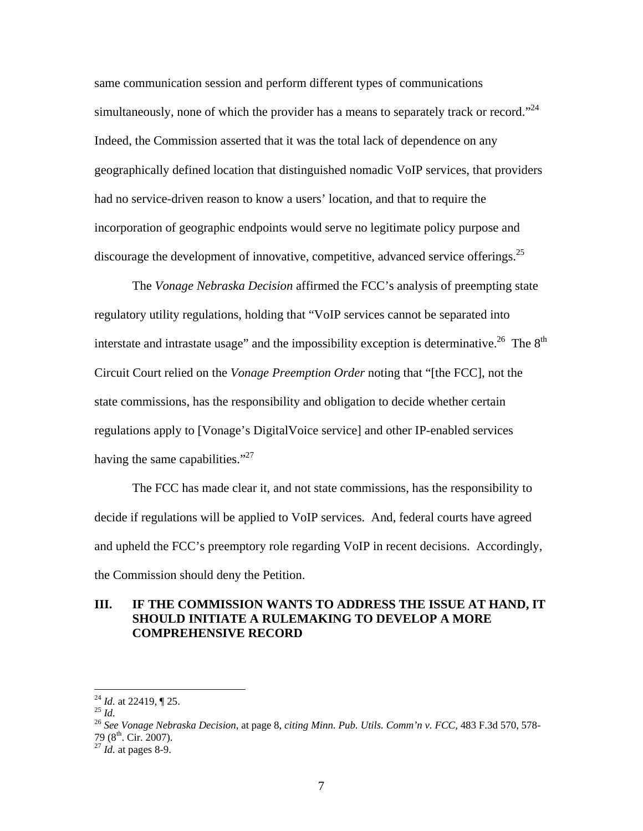same communication session and perform different types of communications simultaneously, none of which the provider has a means to separately track or record."<sup>24</sup> Indeed, the Commission asserted that it was the total lack of dependence on any geographically defined location that distinguished nomadic VoIP services, that providers had no service-driven reason to know a users' location, and that to require the incorporation of geographic endpoints would serve no legitimate policy purpose and discourage the development of innovative, competitive, advanced service offerings.<sup>25</sup>

The *Vonage Nebraska Decision* affirmed the FCC's analysis of preempting state regulatory utility regulations, holding that "VoIP services cannot be separated into interstate and intrastate usage" and the impossibility exception is determinative.<sup>26</sup> The  $8<sup>th</sup>$ Circuit Court relied on the *Vonage Preemption Order* noting that "[the FCC], not the state commissions, has the responsibility and obligation to decide whether certain regulations apply to [Vonage's DigitalVoice service] and other IP-enabled services having the same capabilities." $^{27}$ 

The FCC has made clear it, and not state commissions, has the responsibility to decide if regulations will be applied to VoIP services. And, federal courts have agreed and upheld the FCC's preemptory role regarding VoIP in recent decisions. Accordingly, the Commission should deny the Petition.

#### **III. IF THE COMMISSION WANTS TO ADDRESS THE ISSUE AT HAND, IT SHOULD INITIATE A RULEMAKING TO DEVELOP A MORE COMPREHENSIVE RECORD**

<sup>&</sup>lt;sup>24</sup> *Id.* at 22419,  $\P$  25.

<sup>&</sup>lt;sup>25</sup> *Id.*<br><sup>25</sup> *Id. Camage Nebraska Decision*, at page 8, *citing Minn. Pub. Utils. Comm'n v. FCC*, 483 F.3d 570, 578-79 (8th. Cir. 2007). 27 *Id.* at pages 8-9.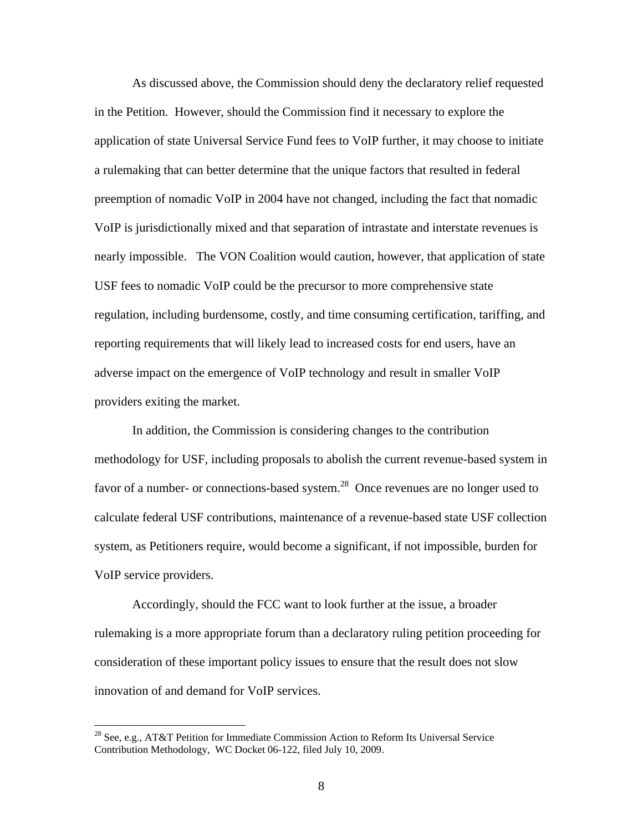As discussed above, the Commission should deny the declaratory relief requested in the Petition. However, should the Commission find it necessary to explore the application of state Universal Service Fund fees to VoIP further, it may choose to initiate a rulemaking that can better determine that the unique factors that resulted in federal preemption of nomadic VoIP in 2004 have not changed, including the fact that nomadic VoIP is jurisdictionally mixed and that separation of intrastate and interstate revenues is nearly impossible. The VON Coalition would caution, however, that application of state USF fees to nomadic VoIP could be the precursor to more comprehensive state regulation, including burdensome, costly, and time consuming certification, tariffing, and reporting requirements that will likely lead to increased costs for end users, have an adverse impact on the emergence of VoIP technology and result in smaller VoIP providers exiting the market.

 In addition, the Commission is considering changes to the contribution methodology for USF, including proposals to abolish the current revenue-based system in favor of a number- or connections-based system.<sup>28</sup> Once revenues are no longer used to calculate federal USF contributions, maintenance of a revenue-based state USF collection system, as Petitioners require, would become a significant, if not impossible, burden for VoIP service providers.

 Accordingly, should the FCC want to look further at the issue, a broader rulemaking is a more appropriate forum than a declaratory ruling petition proceeding for consideration of these important policy issues to ensure that the result does not slow innovation of and demand for VoIP services.

<sup>&</sup>lt;sup>28</sup> See, e.g., AT&T Petition for Immediate Commission Action to Reform Its Universal Service Contribution Methodology, WC Docket 06-122, filed July 10, 2009.